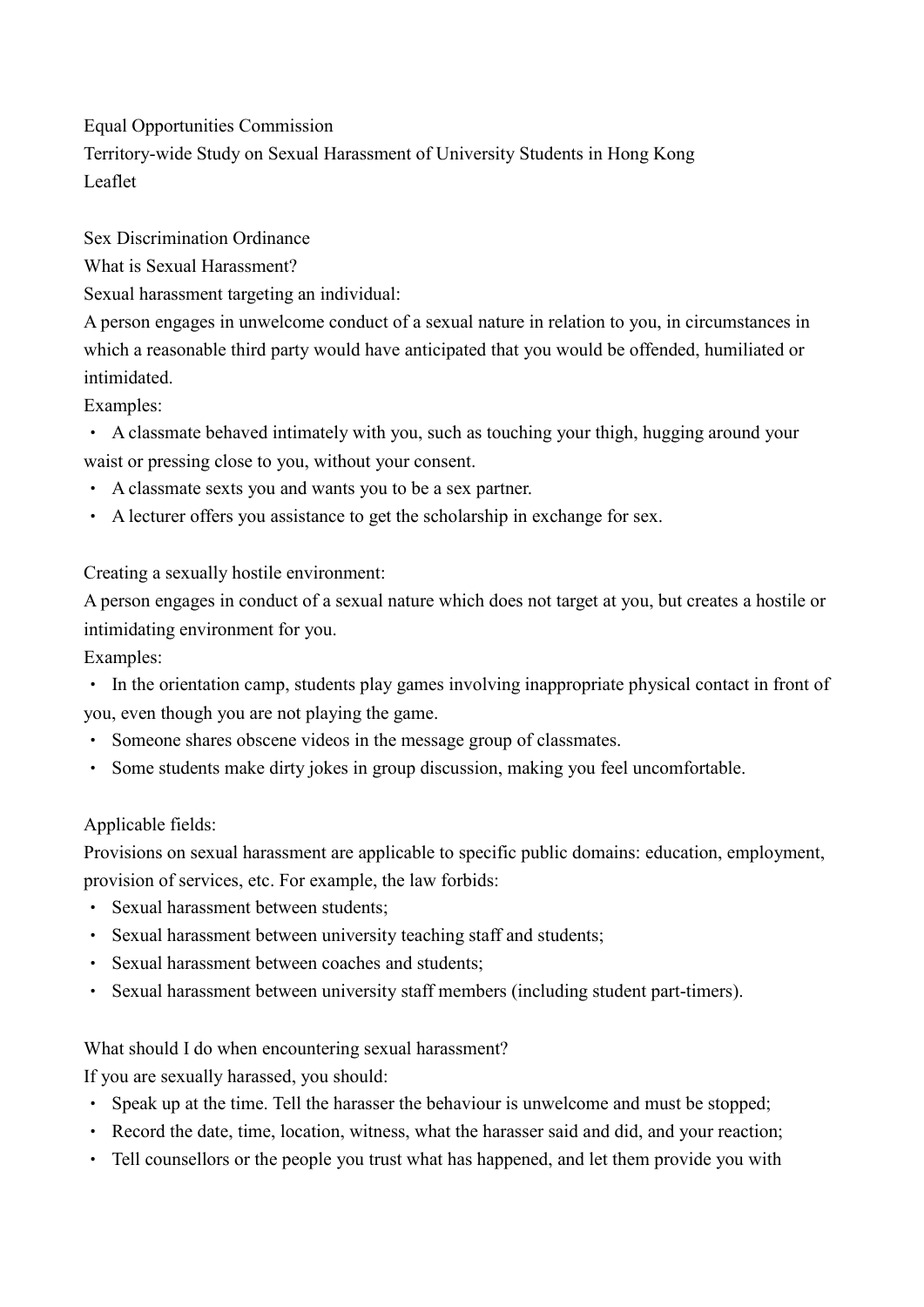Equal Opportunities Commission

Territory-wide Study on Sexual Harassment of University Students in Hong Kong Leaflet

Sex Discrimination Ordinance

What is Sexual Harassment?

Sexual harassment targeting an individual:

A person engages in unwelcome conduct of a sexual nature in relation to you, in circumstances in which a reasonable third party would have anticipated that you would be offended, humiliated or intimidated.

Examples:

‧ A classmate behaved intimately with you, such as touching your thigh, hugging around your waist or pressing close to you, without your consent.

- ‧ A classmate sexts you and wants you to be a sex partner.
- ‧ A lecturer offers you assistance to get the scholarship in exchange for sex.

Creating a sexually hostile environment:

A person engages in conduct of a sexual nature which does not target at you, but creates a hostile or intimidating environment for you.

Examples:

‧ In the orientation camp, students play games involving inappropriate physical contact in front of you, even though you are not playing the game.

- ‧ Someone shares obscene videos in the message group of classmates.
- ‧ Some students make dirty jokes in group discussion, making you feel uncomfortable.

# Applicable fields:

Provisions on sexual harassment are applicable to specific public domains: education, employment, provision of services, etc. For example, the law forbids:

- ‧ Sexual harassment between students;
- ‧ Sexual harassment between university teaching staff and students;
- ‧ Sexual harassment between coaches and students;
- ‧ Sexual harassment between university staff members (including student part-timers).

# What should I do when encountering sexual harassment?

If you are sexually harassed, you should:

- ‧ Speak up at the time. Tell the harasser the behaviour is unwelcome and must be stopped;
- ‧ Record the date, time, location, witness, what the harasser said and did, and your reaction;
- ‧ Tell counsellors or the people you trust what has happened, and let them provide you with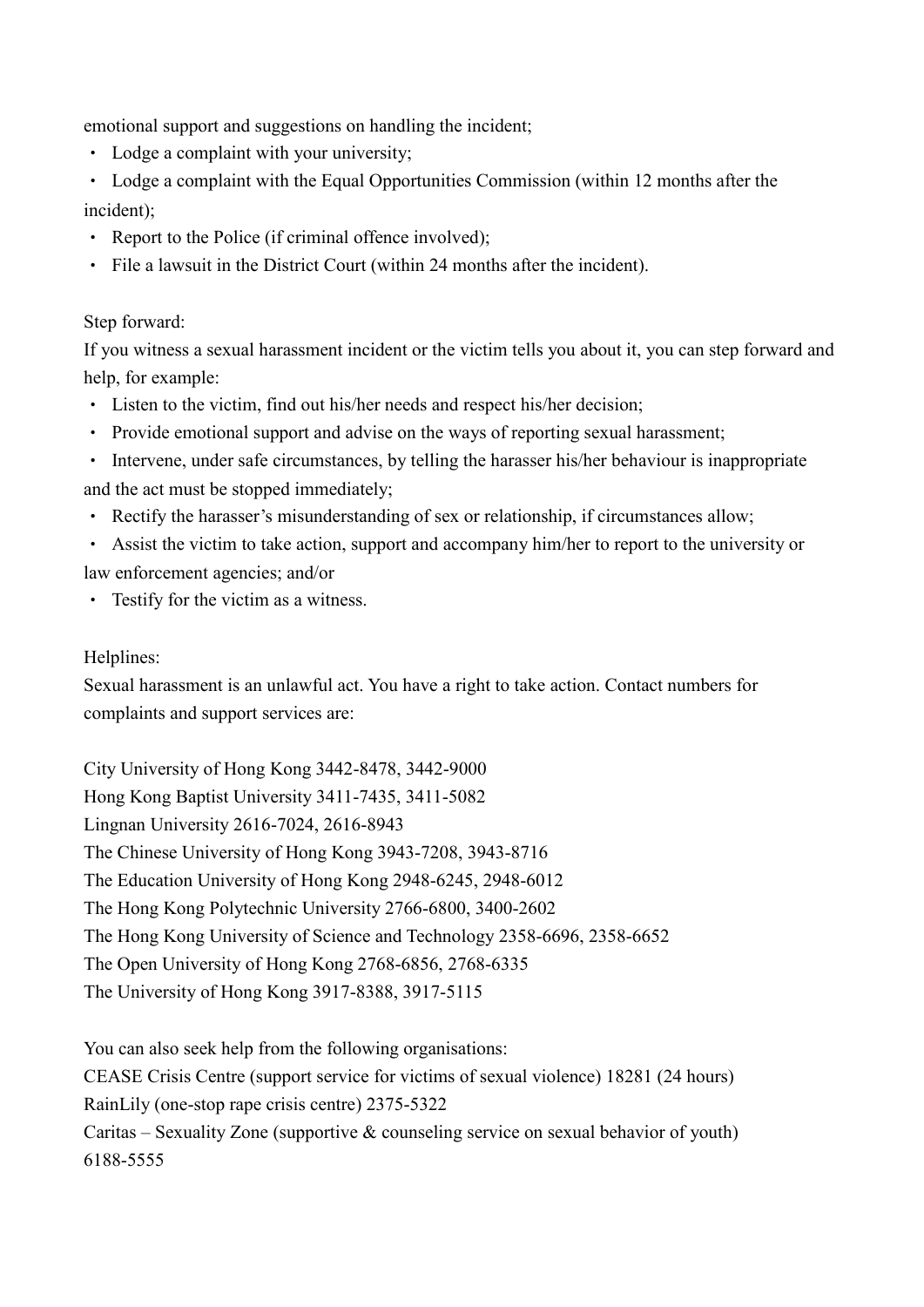emotional support and suggestions on handling the incident;

- ‧ Lodge a complaint with your university;
- Lodge a complaint with the Equal Opportunities Commission (within 12 months after the incident);
- ‧ Report to the Police (if criminal offence involved);
- ‧ File a lawsuit in the District Court (within 24 months after the incident).

## Step forward:

If you witness a sexual harassment incident or the victim tells you about it, you can step forward and help, for example:

- ‧ Listen to the victim, find out his/her needs and respect his/her decision;
- ‧ Provide emotional support and advise on the ways of reporting sexual harassment;
- ‧ Intervene, under safe circumstances, by telling the harasser his/her behaviour is inappropriate and the act must be stopped immediately;
- ‧ Rectify the harasser's misunderstanding of sex or relationship, if circumstances allow;
- ‧ Assist the victim to take action, support and accompany him/her to report to the university or law enforcement agencies; and/or
- ‧ Testify for the victim as a witness.

## Helplines:

Sexual harassment is an unlawful act. You have a right to take action. Contact numbers for complaints and support services are:

City University of Hong Kong 3442-8478, 3442-9000 Hong Kong Baptist University 3411-7435, 3411-5082 Lingnan University 2616-7024, 2616-8943 The Chinese University of Hong Kong 3943-7208, 3943-8716 The Education University of Hong Kong 2948-6245, 2948-6012 The Hong Kong Polytechnic University 2766-6800, 3400-2602 The Hong Kong University of Science and Technology 2358-6696, 2358-6652 The Open University of Hong Kong 2768-6856, 2768-6335 The University of Hong Kong 3917-8388, 3917-5115

You can also seek help from the following organisations: CEASE Crisis Centre (support service for victims of sexual violence) 18281 (24 hours) RainLily (one-stop rape crisis centre) 2375-5322 Caritas – Sexuality Zone (supportive  $\&$  counseling service on sexual behavior of youth) 6188-5555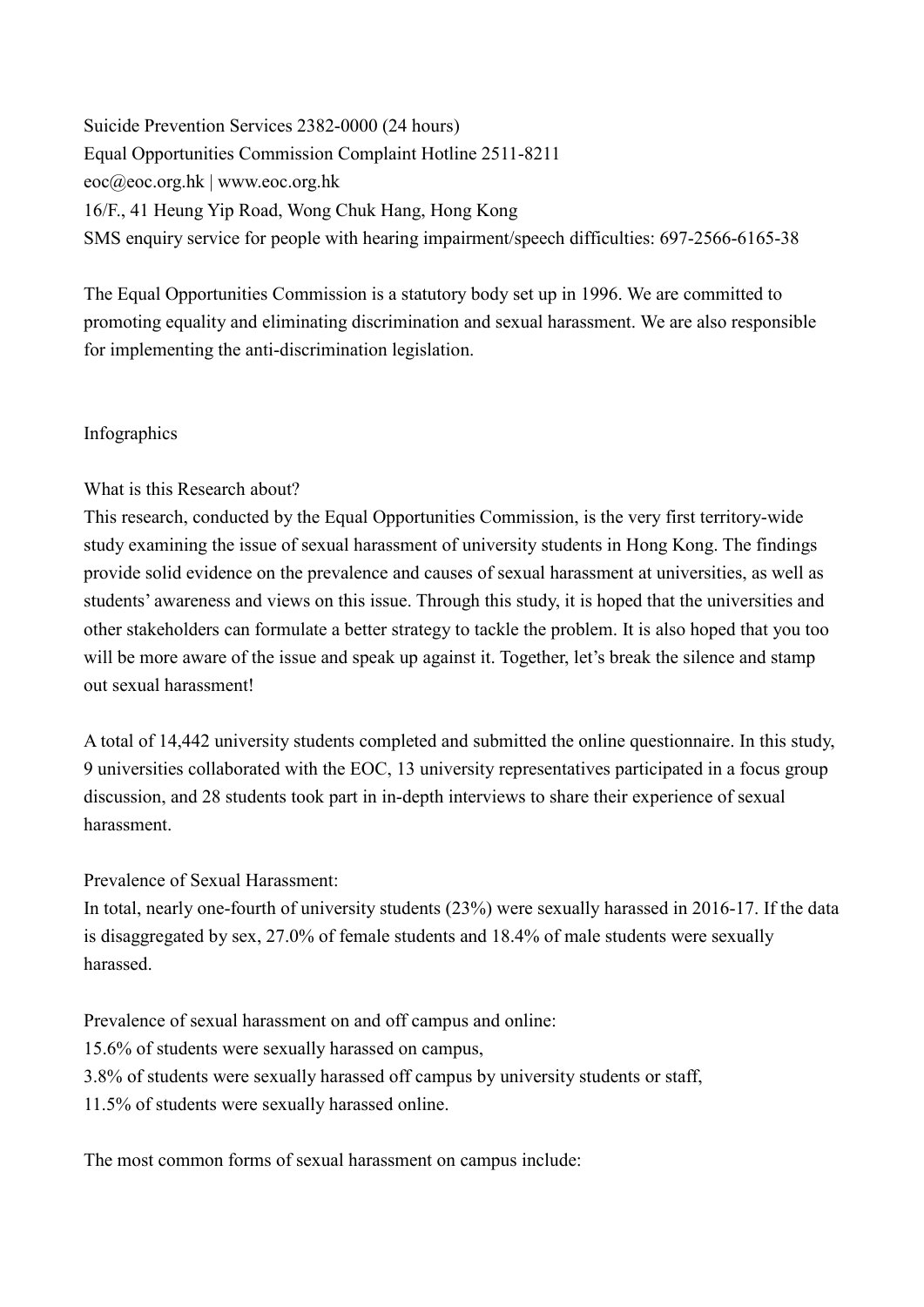Suicide Prevention Services 2382-0000 (24 hours) Equal Opportunities Commission Complaint Hotline 2511-8211 eoc@eoc.org.hk | www.eoc.org.hk 16/F., 41 Heung Yip Road, Wong Chuk Hang, Hong Kong SMS enquiry service for people with hearing impairment/speech difficulties: 697-2566-6165-38

The Equal Opportunities Commission is a statutory body set up in 1996. We are committed to promoting equality and eliminating discrimination and sexual harassment. We are also responsible for implementing the anti-discrimination legislation.

### Infographics

What is this Research about?

This research, conducted by the Equal Opportunities Commission, is the very first territory-wide study examining the issue of sexual harassment of university students in Hong Kong. The findings provide solid evidence on the prevalence and causes of sexual harassment at universities, as well as students' awareness and views on this issue. Through this study, it is hoped that the universities and other stakeholders can formulate a better strategy to tackle the problem. It is also hoped that you too will be more aware of the issue and speak up against it. Together, let's break the silence and stamp out sexual harassment!

A total of 14,442 university students completed and submitted the online questionnaire. In this study, 9 universities collaborated with the EOC, 13 university representatives participated in a focus group discussion, and 28 students took part in in-depth interviews to share their experience of sexual harassment.

Prevalence of Sexual Harassment:

In total, nearly one-fourth of university students (23%) were sexually harassed in 2016-17. If the data is disaggregated by sex, 27.0% of female students and 18.4% of male students were sexually harassed.

Prevalence of sexual harassment on and off campus and online:

15.6% of students were sexually harassed on campus,

3.8% of students were sexually harassed off campus by university students or staff,

11.5% of students were sexually harassed online.

The most common forms of sexual harassment on campus include: